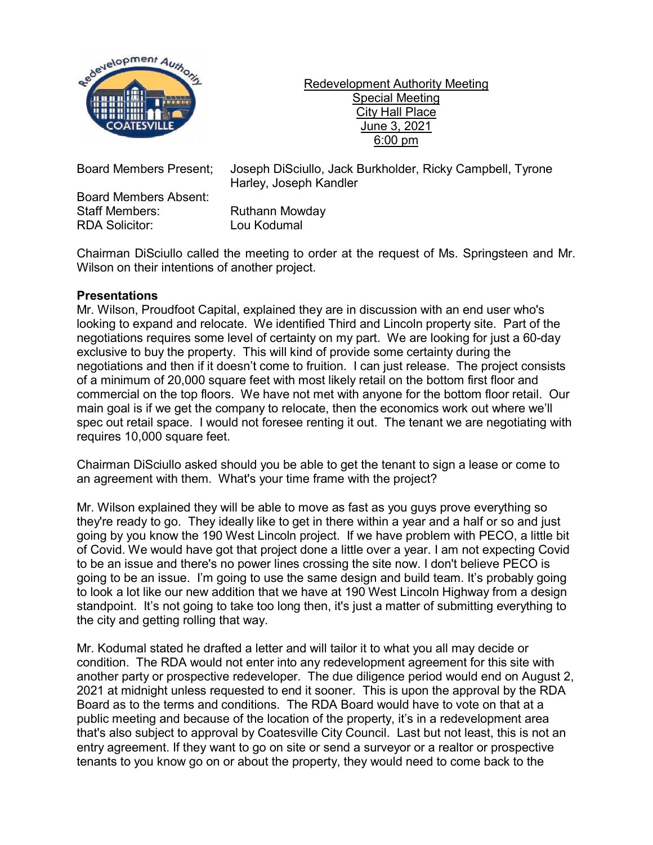

Redevelopment Authority Meeting Special Meeting City Hall Place June 3, 2021 6:00 pm

Board Members Absent: Staff Members: Ruthann Mowday RDA Solicitor: Lou Kodumal

Board Members Present; Joseph DiSciullo, Jack Burkholder, Ricky Campbell, Tyrone Harley, Joseph Kandler

Chairman DiSciullo called the meeting to order at the request of Ms. Springsteen and Mr. Wilson on their intentions of another project.

## **Presentations**

Mr. Wilson, Proudfoot Capital, explained they are in discussion with an end user who's looking to expand and relocate. We identified Third and Lincoln property site. Part of the negotiations requires some level of certainty on my part. We are looking for just a 60-day exclusive to buy the property. This will kind of provide some certainty during the negotiations and then if it doesn't come to fruition. I can just release. The project consists of a minimum of 20,000 square feet with most likely retail on the bottom first floor and commercial on the top floors. We have not met with anyone for the bottom floor retail. Our main goal is if we get the company to relocate, then the economics work out where we'll spec out retail space. I would not foresee renting it out. The tenant we are negotiating with requires 10,000 square feet.

Chairman DiSciullo asked should you be able to get the tenant to sign a lease or come to an agreement with them. What's your time frame with the project?

Mr. Wilson explained they will be able to move as fast as you guys prove everything so they're ready to go. They ideally like to get in there within a year and a half or so and just going by you know the 190 West Lincoln project. If we have problem with PECO, a little bit of Covid. We would have got that project done a little over a year. I am not expecting Covid to be an issue and there's no power lines crossing the site now. I don't believe PECO is going to be an issue. I'm going to use the same design and build team. It's probably going to look a lot like our new addition that we have at 190 West Lincoln Highway from a design standpoint. It's not going to take too long then, it's just a matter of submitting everything to the city and getting rolling that way.

Mr. Kodumal stated he drafted a letter and will tailor it to what you all may decide or condition. The RDA would not enter into any redevelopment agreement for this site with another party or prospective redeveloper. The due diligence period would end on August 2, 2021 at midnight unless requested to end it sooner. This is upon the approval by the RDA Board as to the terms and conditions. The RDA Board would have to vote on that at a public meeting and because of the location of the property, it's in a redevelopment area that's also subject to approval by Coatesville City Council. Last but not least, this is not an entry agreement. If they want to go on site or send a surveyor or a realtor or prospective tenants to you know go on or about the property, they would need to come back to the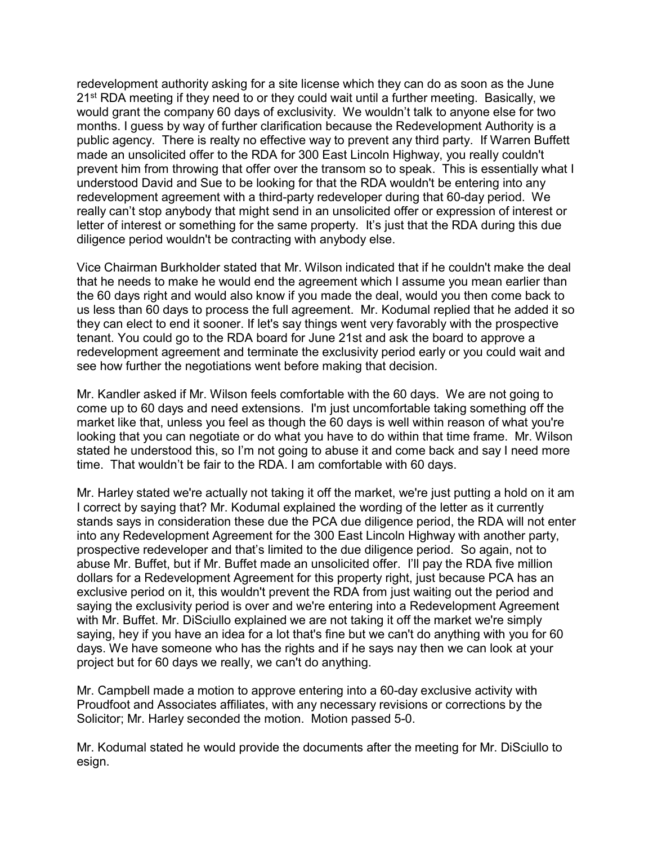redevelopment authority asking for a site license which they can do as soon as the June 21<sup>st</sup> RDA meeting if they need to or they could wait until a further meeting. Basically, we would grant the company 60 days of exclusivity. We wouldn't talk to anyone else for two months. I guess by way of further clarification because the Redevelopment Authority is a public agency. There is realty no effective way to prevent any third party. If Warren Buffett made an unsolicited offer to the RDA for 300 East Lincoln Highway, you really couldn't prevent him from throwing that offer over the transom so to speak. This is essentially what I understood David and Sue to be looking for that the RDA wouldn't be entering into any redevelopment agreement with a third-party redeveloper during that 60-day period. We really can't stop anybody that might send in an unsolicited offer or expression of interest or letter of interest or something for the same property. It's just that the RDA during this due diligence period wouldn't be contracting with anybody else.

Vice Chairman Burkholder stated that Mr. Wilson indicated that if he couldn't make the deal that he needs to make he would end the agreement which I assume you mean earlier than the 60 days right and would also know if you made the deal, would you then come back to us less than 60 days to process the full agreement. Mr. Kodumal replied that he added it so they can elect to end it sooner. If let's say things went very favorably with the prospective tenant. You could go to the RDA board for June 21st and ask the board to approve a redevelopment agreement and terminate the exclusivity period early or you could wait and see how further the negotiations went before making that decision.

Mr. Kandler asked if Mr. Wilson feels comfortable with the 60 days. We are not going to come up to 60 days and need extensions. I'm just uncomfortable taking something off the market like that, unless you feel as though the 60 days is well within reason of what you're looking that you can negotiate or do what you have to do within that time frame. Mr. Wilson stated he understood this, so I'm not going to abuse it and come back and say I need more time. That wouldn't be fair to the RDA. I am comfortable with 60 days.

Mr. Harley stated we're actually not taking it off the market, we're just putting a hold on it am I correct by saying that? Mr. Kodumal explained the wording of the letter as it currently stands says in consideration these due the PCA due diligence period, the RDA will not enter into any Redevelopment Agreement for the 300 East Lincoln Highway with another party, prospective redeveloper and that's limited to the due diligence period. So again, not to abuse Mr. Buffet, but if Mr. Buffet made an unsolicited offer. I'll pay the RDA five million dollars for a Redevelopment Agreement for this property right, just because PCA has an exclusive period on it, this wouldn't prevent the RDA from just waiting out the period and saying the exclusivity period is over and we're entering into a Redevelopment Agreement with Mr. Buffet. Mr. DiSciullo explained we are not taking it off the market we're simply saying, hey if you have an idea for a lot that's fine but we can't do anything with you for 60 days. We have someone who has the rights and if he says nay then we can look at your project but for 60 days we really, we can't do anything.

Mr. Campbell made a motion to approve entering into a 60-day exclusive activity with Proudfoot and Associates affiliates, with any necessary revisions or corrections by the Solicitor; Mr. Harley seconded the motion. Motion passed 5-0.

Mr. Kodumal stated he would provide the documents after the meeting for Mr. DiSciullo to esign.